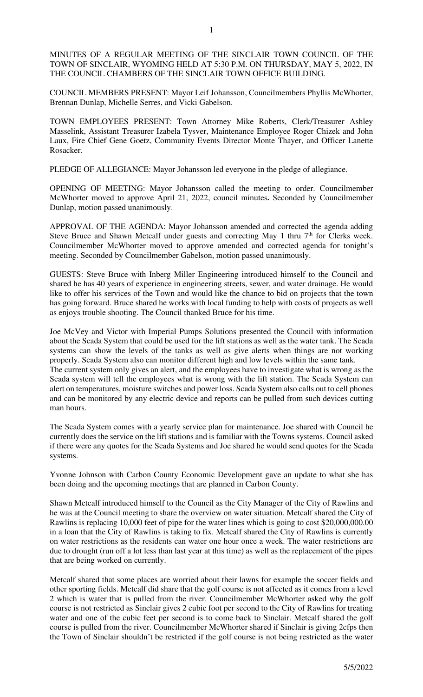MINUTES OF A REGULAR MEETING OF THE SINCLAIR TOWN COUNCIL OF THE TOWN OF SINCLAIR, WYOMING HELD AT 5:30 P.M. ON THURSDAY, MAY 5, 2022, IN THE COUNCIL CHAMBERS OF THE SINCLAIR TOWN OFFICE BUILDING.

COUNCIL MEMBERS PRESENT: Mayor Leif Johansson, Councilmembers Phyllis McWhorter, Brennan Dunlap, Michelle Serres, and Vicki Gabelson.

TOWN EMPLOYEES PRESENT: Town Attorney Mike Roberts, Clerk/Treasurer Ashley Masselink, Assistant Treasurer Izabela Tysver, Maintenance Employee Roger Chizek and John Laux, Fire Chief Gene Goetz, Community Events Director Monte Thayer, and Officer Lanette Rosacker.

PLEDGE OF ALLEGIANCE: Mayor Johansson led everyone in the pledge of allegiance.

OPENING OF MEETING: Mayor Johansson called the meeting to order. Councilmember McWhorter moved to approve April 21, 2022, council minutes**.** Seconded by Councilmember Dunlap, motion passed unanimously.

APPROVAL OF THE AGENDA: Mayor Johansson amended and corrected the agenda adding Steve Bruce and Shawn Metcalf under guests and correcting May 1 thru  $7<sup>th</sup>$  for Clerks week. Councilmember McWhorter moved to approve amended and corrected agenda for tonight's meeting. Seconded by Councilmember Gabelson, motion passed unanimously.

GUESTS: Steve Bruce with Inberg Miller Engineering introduced himself to the Council and shared he has 40 years of experience in engineering streets, sewer, and water drainage. He would like to offer his services of the Town and would like the chance to bid on projects that the town has going forward. Bruce shared he works with local funding to help with costs of projects as well as enjoys trouble shooting. The Council thanked Bruce for his time.

Joe McVey and Victor with Imperial Pumps Solutions presented the Council with information about the Scada System that could be used for the lift stations as well as the water tank. The Scada systems can show the levels of the tanks as well as give alerts when things are not working properly. Scada System also can monitor different high and low levels within the same tank. The current system only gives an alert, and the employees have to investigate what is wrong as the Scada system will tell the employees what is wrong with the lift station. The Scada System can alert on temperatures, moisture switches and power loss. Scada System also calls out to cell phones and can be monitored by any electric device and reports can be pulled from such devices cutting man hours.

The Scada System comes with a yearly service plan for maintenance. Joe shared with Council he currently does the service on the lift stations and is familiar with the Towns systems. Council asked if there were any quotes for the Scada Systems and Joe shared he would send quotes for the Scada systems.

Yvonne Johnson with Carbon County Economic Development gave an update to what she has been doing and the upcoming meetings that are planned in Carbon County.

Shawn Metcalf introduced himself to the Council as the City Manager of the City of Rawlins and he was at the Council meeting to share the overview on water situation. Metcalf shared the City of Rawlins is replacing 10,000 feet of pipe for the water lines which is going to cost \$20,000,000.00 in a loan that the City of Rawlins is taking to fix. Metcalf shared the City of Rawlins is currently on water restrictions as the residents can water one hour once a week. The water restrictions are due to drought (run off a lot less than last year at this time) as well as the replacement of the pipes that are being worked on currently.

Metcalf shared that some places are worried about their lawns for example the soccer fields and other sporting fields. Metcalf did share that the golf course is not affected as it comes from a level 2 which is water that is pulled from the river. Councilmember McWhorter asked why the golf course is not restricted as Sinclair gives 2 cubic foot per second to the City of Rawlins for treating water and one of the cubic feet per second is to come back to Sinclair. Metcalf shared the golf course is pulled from the river. Councilmember McWhorter shared if Sinclair is giving 2cfps then the Town of Sinclair shouldn't be restricted if the golf course is not being restricted as the water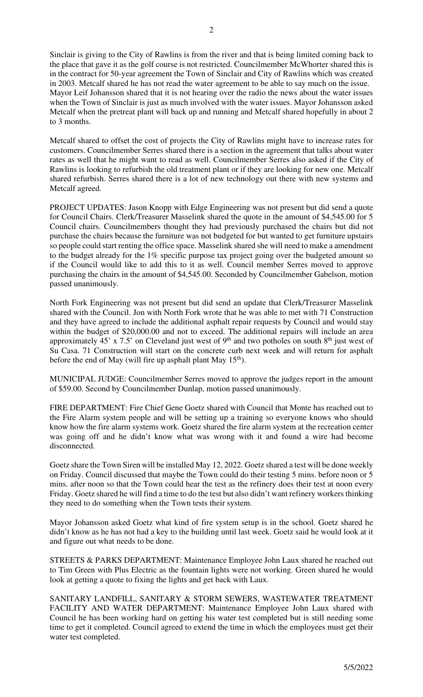Sinclair is giving to the City of Rawlins is from the river and that is being limited coming back to the place that gave it as the golf course is not restricted. Councilmember McWhorter shared this is in the contract for 50-year agreement the Town of Sinclair and City of Rawlins which was created in 2003. Metcalf shared he has not read the water agreement to be able to say much on the issue. Mayor Leif Johansson shared that it is not hearing over the radio the news about the water issues when the Town of Sinclair is just as much involved with the water issues. Mayor Johansson asked Metcalf when the pretreat plant will back up and running and Metcalf shared hopefully in about 2 to 3 months.

Metcalf shared to offset the cost of projects the City of Rawlins might have to increase rates for customers. Councilmember Serres shared there is a section in the agreement that talks about water rates as well that he might want to read as well. Councilmember Serres also asked if the City of Rawlins is looking to refurbish the old treatment plant or if they are looking for new one. Metcalf shared refurbish. Serres shared there is a lot of new technology out there with new systems and Metcalf agreed.

PROJECT UPDATES: Jason Knopp with Edge Engineering was not present but did send a quote for Council Chairs. Clerk/Treasurer Masselink shared the quote in the amount of \$4,545.00 for 5 Council chairs. Councilmembers thought they had previously purchased the chairs but did not purchase the chairs because the furniture was not budgeted for but wanted to get furniture upstairs so people could start renting the office space. Masselink shared she will need to make a amendment to the budget already for the 1% specific purpose tax project going over the budgeted amount so if the Council would like to add this to it as well. Council member Serres moved to approve purchasing the chairs in the amount of \$4,545.00. Seconded by Councilmember Gabelson, motion passed unanimously.

North Fork Engineering was not present but did send an update that Clerk/Treasurer Masselink shared with the Council. Jon with North Fork wrote that he was able to met with 71 Construction and they have agreed to include the additional asphalt repair requests by Council and would stay within the budget of \$20,000.00 and not to exceed. The additional repairs will include an area approximately 45' x 7.5' on Cleveland just west of  $9<sup>th</sup>$  and two potholes on south  $8<sup>th</sup>$  just west of Su Casa. 71 Construction will start on the concrete curb next week and will return for asphalt before the end of May (will fire up asphalt plant May  $15<sup>th</sup>$ ).

MUNICIPAL JUDGE: Councilmember Serres moved to approve the judges report in the amount of \$59.00. Second by Councilmember Dunlap, motion passed unanimously.

FIRE DEPARTMENT: Fire Chief Gene Goetz shared with Council that Monte has reached out to the Fire Alarm system people and will be setting up a training so everyone knows who should know how the fire alarm systems work. Goetz shared the fire alarm system at the recreation center was going off and he didn't know what was wrong with it and found a wire had become disconnected.

Goetz share the Town Siren will be installed May 12, 2022. Goetz shared a test will be done weekly on Friday. Council discussed that maybe the Town could do their testing 5 mins. before noon or 5 mins. after noon so that the Town could hear the test as the refinery does their test at noon every Friday. Goetz shared he will find a time to do the test but also didn't want refinery workers thinking they need to do something when the Town tests their system.

Mayor Johansson asked Goetz what kind of fire system setup is in the school. Goetz shared he didn't know as he has not had a key to the building until last week. Goetz said he would look at it and figure out what needs to be done.

STREETS & PARKS DEPARTMENT: Maintenance Employee John Laux shared he reached out to Tim Green with Plus Electric as the fountain lights were not working. Green shared he would look at getting a quote to fixing the lights and get back with Laux.

SANITARY LANDFILL, SANITARY & STORM SEWERS, WASTEWATER TREATMENT FACILITY AND WATER DEPARTMENT: Maintenance Employee John Laux shared with Council he has been working hard on getting his water test completed but is still needing some time to get it completed. Council agreed to extend the time in which the employees must get their water test completed.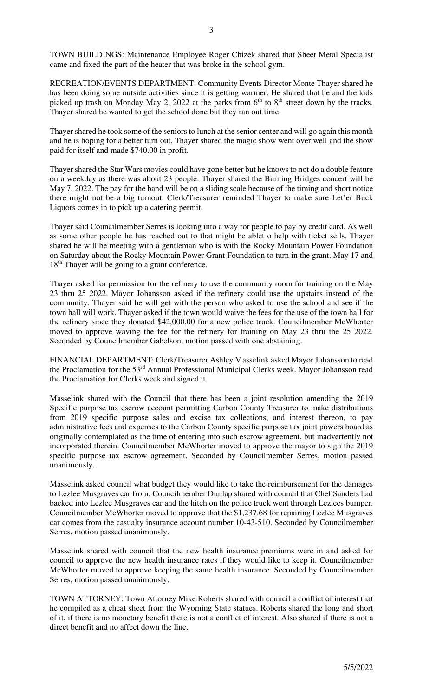TOWN BUILDINGS: Maintenance Employee Roger Chizek shared that Sheet Metal Specialist came and fixed the part of the heater that was broke in the school gym.

RECREATION/EVENTS DEPARTMENT: Community Events Director Monte Thayer shared he has been doing some outside activities since it is getting warmer. He shared that he and the kids picked up trash on Monday May 2, 2022 at the parks from  $6<sup>th</sup>$  to  $8<sup>th</sup>$  street down by the tracks. Thayer shared he wanted to get the school done but they ran out time.

Thayer shared he took some of the seniors to lunch at the senior center and will go again this month and he is hoping for a better turn out. Thayer shared the magic show went over well and the show paid for itself and made \$740.00 in profit.

Thayer shared the Star Wars movies could have gone better but he knows to not do a double feature on a weekday as there was about 23 people. Thayer shared the Burning Bridges concert will be May 7, 2022. The pay for the band will be on a sliding scale because of the timing and short notice there might not be a big turnout. Clerk/Treasurer reminded Thayer to make sure Let'er Buck Liquors comes in to pick up a catering permit.

Thayer said Councilmember Serres is looking into a way for people to pay by credit card. As well as some other people he has reached out to that might be ablet o help with ticket sells. Thayer shared he will be meeting with a gentleman who is with the Rocky Mountain Power Foundation on Saturday about the Rocky Mountain Power Grant Foundation to turn in the grant. May 17 and 18<sup>th</sup> Thayer will be going to a grant conference.

Thayer asked for permission for the refinery to use the community room for training on the May 23 thru 25 2022. Mayor Johansson asked if the refinery could use the upstairs instead of the community. Thayer said he will get with the person who asked to use the school and see if the town hall will work. Thayer asked if the town would waive the fees for the use of the town hall for the refinery since they donated \$42,000.00 for a new police truck. Councilmember McWhorter moved to approve waving the fee for the refinery for training on May 23 thru the 25 2022. Seconded by Councilmember Gabelson, motion passed with one abstaining.

FINANCIAL DEPARTMENT: Clerk/Treasurer Ashley Masselink asked Mayor Johansson to read the Proclamation for the 53<sup>rd</sup> Annual Professional Municipal Clerks week. Mayor Johansson read the Proclamation for Clerks week and signed it.

Masselink shared with the Council that there has been a joint resolution amending the 2019 Specific purpose tax escrow account permitting Carbon County Treasurer to make distributions from 2019 specific purpose sales and excise tax collections, and interest thereon, to pay administrative fees and expenses to the Carbon County specific purpose tax joint powers board as originally contemplated as the time of entering into such escrow agreement, but inadvertently not incorporated therein. Councilmember McWhorter moved to approve the mayor to sign the 2019 specific purpose tax escrow agreement. Seconded by Councilmember Serres, motion passed unanimously.

Masselink asked council what budget they would like to take the reimbursement for the damages to Lezlee Musgraves car from. Councilmember Dunlap shared with council that Chef Sanders had backed into Lezlee Musgraves car and the hitch on the police truck went through Lezlees bumper. Councilmember McWhorter moved to approve that the \$1,237.68 for repairing Lezlee Musgraves car comes from the casualty insurance account number 10-43-510. Seconded by Councilmember Serres, motion passed unanimously.

Masselink shared with council that the new health insurance premiums were in and asked for council to approve the new health insurance rates if they would like to keep it. Councilmember McWhorter moved to approve keeping the same health insurance. Seconded by Councilmember Serres, motion passed unanimously.

TOWN ATTORNEY: Town Attorney Mike Roberts shared with council a conflict of interest that he compiled as a cheat sheet from the Wyoming State statues. Roberts shared the long and short of it, if there is no monetary benefit there is not a conflict of interest. Also shared if there is not a direct benefit and no affect down the line.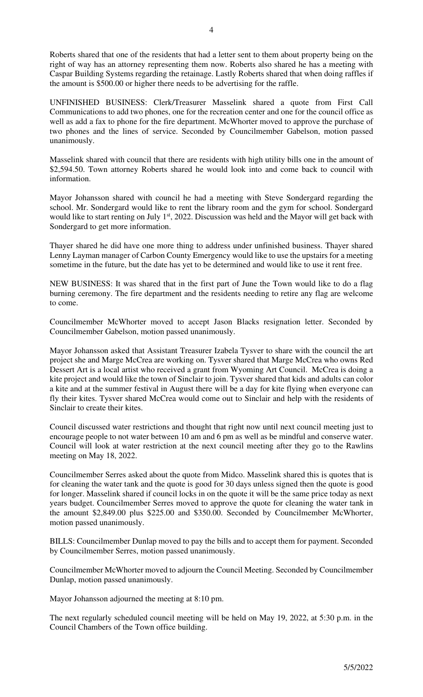Roberts shared that one of the residents that had a letter sent to them about property being on the right of way has an attorney representing them now. Roberts also shared he has a meeting with Caspar Building Systems regarding the retainage. Lastly Roberts shared that when doing raffles if the amount is \$500.00 or higher there needs to be advertising for the raffle.

UNFINISHED BUSINESS: Clerk/Treasurer Masselink shared a quote from First Call Communications to add two phones, one for the recreation center and one for the council office as well as add a fax to phone for the fire department. McWhorter moved to approve the purchase of two phones and the lines of service. Seconded by Councilmember Gabelson, motion passed unanimously.

Masselink shared with council that there are residents with high utility bills one in the amount of \$2,594.50. Town attorney Roberts shared he would look into and come back to council with information.

Mayor Johansson shared with council he had a meeting with Steve Sondergard regarding the school. Mr. Sondergard would like to rent the library room and the gym for school. Sondergard would like to start renting on July 1<sup>st</sup>, 2022. Discussion was held and the Mayor will get back with Sondergard to get more information.

Thayer shared he did have one more thing to address under unfinished business. Thayer shared Lenny Layman manager of Carbon County Emergency would like to use the upstairs for a meeting sometime in the future, but the date has yet to be determined and would like to use it rent free.

NEW BUSINESS: It was shared that in the first part of June the Town would like to do a flag burning ceremony. The fire department and the residents needing to retire any flag are welcome to come.

Councilmember McWhorter moved to accept Jason Blacks resignation letter. Seconded by Councilmember Gabelson, motion passed unanimously.

Mayor Johansson asked that Assistant Treasurer Izabela Tysver to share with the council the art project she and Marge McCrea are working on. Tysver shared that Marge McCrea who owns Red Dessert Art is a local artist who received a grant from Wyoming Art Council. McCrea is doing a kite project and would like the town of Sinclair to join. Tysver shared that kids and adults can color a kite and at the summer festival in August there will be a day for kite flying when everyone can fly their kites. Tysver shared McCrea would come out to Sinclair and help with the residents of Sinclair to create their kites.

Council discussed water restrictions and thought that right now until next council meeting just to encourage people to not water between 10 am and 6 pm as well as be mindful and conserve water. Council will look at water restriction at the next council meeting after they go to the Rawlins meeting on May 18, 2022.

Councilmember Serres asked about the quote from Midco. Masselink shared this is quotes that is for cleaning the water tank and the quote is good for 30 days unless signed then the quote is good for longer. Masselink shared if council locks in on the quote it will be the same price today as next years budget. Councilmember Serres moved to approve the quote for cleaning the water tank in the amount \$2,849.00 plus \$225.00 and \$350.00. Seconded by Councilmember McWhorter, motion passed unanimously.

BILLS: Councilmember Dunlap moved to pay the bills and to accept them for payment. Seconded by Councilmember Serres, motion passed unanimously.

Councilmember McWhorter moved to adjourn the Council Meeting. Seconded by Councilmember Dunlap, motion passed unanimously.

Mayor Johansson adjourned the meeting at 8:10 pm.

The next regularly scheduled council meeting will be held on May 19, 2022, at 5:30 p.m. in the Council Chambers of the Town office building.